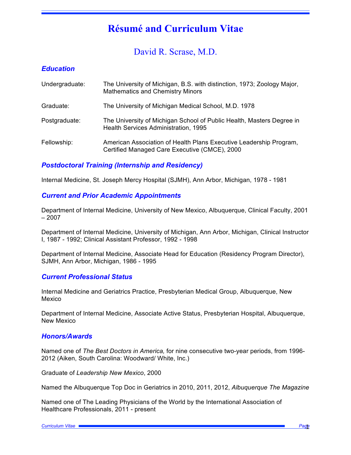# **Résumé and Curriculum Vitae**

David R. Scrase, M.D.

# *Education*

| Undergraduate: | The University of Michigan, B.S. with distinction, 1973; Zoology Major,<br><b>Mathematics and Chemistry Minors</b>  |
|----------------|---------------------------------------------------------------------------------------------------------------------|
| Graduate:      | The University of Michigan Medical School, M.D. 1978                                                                |
| Postgraduate:  | The University of Michigan School of Public Health, Masters Degree in<br>Health Services Administration, 1995       |
| Fellowship:    | American Association of Health Plans Executive Leadership Program,<br>Certified Managed Care Executive (CMCE), 2000 |

# *Postdoctoral Training (Internship and Residency)*

Internal Medicine, St. Joseph Mercy Hospital (SJMH), Ann Arbor, Michigan, 1978 - 1981

# *Current and Prior Academic Appointments*

Department of Internal Medicine, University of New Mexico, Albuquerque, Clinical Faculty, 2001 – 2007

Department of Internal Medicine, University of Michigan, Ann Arbor, Michigan, Clinical Instructor I, 1987 - 1992; Clinical Assistant Professor, 1992 - 1998

Department of Internal Medicine, Associate Head for Education (Residency Program Director), SJMH, Ann Arbor, Michigan, 1986 - 1995

# *Current Professional Status*

Internal Medicine and Geriatrics Practice, Presbyterian Medical Group, Albuquerque, New Mexico

Department of Internal Medicine, Associate Active Status, Presbyterian Hospital, Albuquerque, New Mexico

# *Honors/Awards*

Named one of *The Best Doctors in America,* for nine consecutive two-year periods, from 1996- 2012 (Aiken, South Carolina: Woodward/ White, Inc.)

Graduate of *Leadership New Mexico*, 2000

Named the Albuquerque Top Doc in Geriatrics in 2010, 2011, 2012, *Albuquerque The Magazine* 

Named one of The Leading Physicians of the World by the International Association of Healthcare Professionals, 2011 - present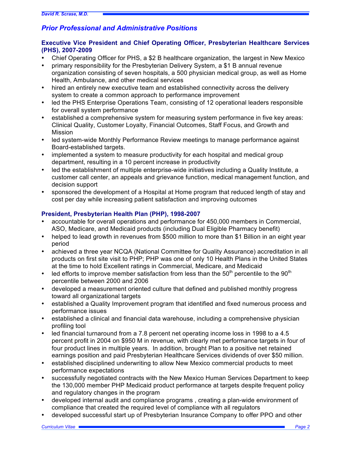# *Prior Professional and Administrative Positions*

# **Executive Vice President and Chief Operating Officer, Presbyterian Healthcare Services (PHS), 2007-2009**

- Chief Operating Officer for PHS, a \$2 B healthcare organization, the largest in New Mexico
- primary responsibility for the Presbyterian Delivery System, a \$1 B annual revenue organization consisting of seven hospitals, a 500 physician medical group, as well as Home Health, Ambulance, and other medical services
- hired an entirely new executive team and established connectivity across the delivery system to create a common approach to performance improvement
- led the PHS Enterprise Operations Team, consisting of 12 operational leaders responsible for overall system performance
- established a comprehensive system for measuring system performance in five key areas: Clinical Quality, Customer Loyalty, Financial Outcomes, Staff Focus, and Growth and Mission
- led system-wide Monthly Performance Review meetings to manage performance against Board-established targets.
- implemented a system to measure productivity for each hospital and medical group department, resulting in a 10 percent increase in productivity
- led the establishment of multiple enterprise-wide initiatives including a Quality Institute, a customer call center, an appeals and grievance function, medical management function, and decision support
- sponsored the development of a Hospital at Home program that reduced length of stay and cost per day while increasing patient satisfaction and improving outcomes

# **President, Presbyterian Health Plan (PHP), 1998-2007**

- accountable for overall operations and performance for 450,000 members in Commercial, ASO, Medicare, and Medicaid products (including Dual Eligible Pharmacy benefit)
- helped to lead growth in revenues from \$500 million to more than \$1 Billion in an eight year period
- achieved a three year NCQA (National Committee for Quality Assurance) accreditation in all products on first site visit to PHP; PHP was one of only 10 Health Plans in the United States at the time to hold Excellent ratings in Commercial, Medicare, and Medicaid
- led efforts to improve member satisfaction from less than the  $50<sup>th</sup>$  percentile to the  $90<sup>th</sup>$ percentile between 2000 and 2006
- developed a measurement oriented culture that defined and published monthly progress toward all organizational targets
- established a Quality Improvement program that identified and fixed numerous process and performance issues
- established a clinical and financial data warehouse, including a comprehensive physician profiling tool
- led financial turnaround from a 7.8 percent net operating income loss in 1998 to a 4.5 percent profit in 2004 on \$950 M in revenue, with clearly met performance targets in four of four product lines in multiple years. In addition, brought Plan to a positive net retained earnings position and paid Presbyterian Healthcare Services dividends of over \$50 million.
- established disciplined underwriting to allow New Mexico commercial products to meet performance expectations
- successfully negotiated contracts with the New Mexico Human Services Department to keep the 130,000 member PHP Medicaid product performance at targets despite frequent policy and regulatory changes in the program
- developed internal audit and compliance programs , creating a plan-wide environment of compliance that created the required level of compliance with all regulators
- developed successful start up of Presbyterian Insurance Company to offer PPO and other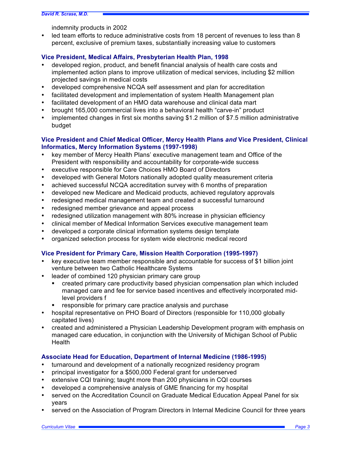indemnity products in 2002

• led team efforts to reduce administrative costs from 18 percent of revenues to less than 8 percent, exclusive of premium taxes, substantially increasing value to customers

#### **Vice President, Medical Affairs, Presbyterian Health Plan, 1998**

- developed region, product, and benefit financial analysis of health care costs and implemented action plans to improve utilization of medical services, including \$2 million projected savings in medical costs
- developed comprehensive NCQA self assessment and plan for accreditation
- facilitated development and implementation of system Health Management plan
- facilitated development of an HMO data warehouse and clinical data mart
- brought 165,000 commercial lives into a behavioral health "carve-in" product
- implemented changes in first six months saving \$1.2 million of \$7.5 million administrative budget

### **Vice President and Chief Medical Officer, Mercy Health Plans** *and* **Vice President, Clinical Informatics, Mercy Information Systems (1997-1998)**

- key member of Mercy Health Plans' executive management team and Office of the President with responsibility and accountability for corporate-wide success
- executive responsible for Care Choices HMO Board of Directors
- developed with General Motors nationally adopted quality measurement criteria
- achieved successful NCQA accreditation survey with 6 months of preparation
- developed new Medicare and Medicaid products, achieved regulatory approvals
- redesigned medical management team and created a successful turnaround
- redesigned member grievance and appeal process
- redesigned utilization management with 80% increase in physician efficiency
- clinical member of Medical Information Services executive management team
- developed a corporate clinical information systems design template
- organized selection process for system wide electronic medical record

# **Vice President for Primary Care, Mission Health Corporation (1995-1997)**

- key executive team member responsible and accountable for success of \$1 billion joint venture between two Catholic Healthcare Systems
- leader of combined 120 physician primary care group
	- § created primary care productivity based physician compensation plan which included managed care and fee for service based incentives and effectively incorporated midlevel providers f
	- responsible for primary care practice analysis and purchase
- hospital representative on PHO Board of Directors (responsible for 110,000 globally capitated lives)
- created and administered a Physician Leadership Development program with emphasis on managed care education, in conjunction with the University of Michigan School of Public **Health**

# **Associate Head for Education, Department of Internal Medicine (1986-1995)**

- turnaround and development of a nationally recognized residency program
- principal investigator for a \$500,000 Federal grant for underserved
- extensive CQI training; taught more than 200 physicians in CQI courses
- developed a comprehensive analysis of GME financing for my hospital
- served on the Accreditation Council on Graduate Medical Education Appeal Panel for six years
- served on the Association of Program Directors in Internal Medicine Council for three years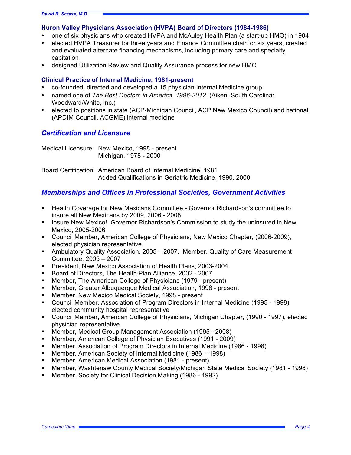#### **Huron Valley Physicians Association (HVPA) Board of Directors (1984-1986)**

- one of six physicians who created HVPA and McAuley Health Plan (a start-up HMO) in 1984
- elected HVPA Treasurer for three years and Finance Committee chair for six years, created and evaluated alternate financing mechanisms, including primary care and specialty capitation
- designed Utilization Review and Quality Assurance process for new HMO

#### **Clinical Practice of Internal Medicine, 1981-present**

- co-founded, directed and developed a 15 physician Internal Medicine group
- named one of *The Best Doctors in America, 1996-2012*, (Aiken, South Carolina: Woodward/White, Inc.)
- elected to positions in state (ACP-Michigan Council, ACP New Mexico Council) and national (APDIM Council, ACGME) internal medicine

# *Certification and Licensure*

Medical Licensure: New Mexico, 1998 - present Michigan, 1978 - 2000

Board Certification: American Board of Internal Medicine, 1981 Added Qualifications in Geriatric Medicine, 1990, 2000

# *Memberships and Offices in Professional Societies, Government Activities*

- § Health Coverage for New Mexicans Committee Governor Richardson's committee to insure all New Mexicans by 2009, 2006 - 2008
- **Insure New Mexico! Governor Richardson's Commission to study the uninsured in New** Mexico, 2005-2006
- § Council Member, American College of Physicians, New Mexico Chapter, (2006-2009), elected physician representative
- Ambulatory Quality Association, 2005 2007. Member, Quality of Care Measurement Committee, 2005 – 2007
- § President, New Mexico Association of Health Plans, 2003-2004
- § Board of Directors, The Health Plan Alliance, 2002 2007
- § Member, The American College of Physicians (1979 present)
- § Member, Greater Albuquerque Medical Association, 1998 present
- § Member, New Mexico Medical Society, 1998 present
- Council Member, Association of Program Directors in Internal Medicine (1995 1998), elected community hospital representative
- § Council Member, American College of Physicians, Michigan Chapter, (1990 1997), elected physician representative
- Member, Medical Group Management Association (1995 2008)
- § Member, American College of Physician Executives (1991 2009)
- § Member, Association of Program Directors in Internal Medicine (1986 1998)
- § Member, American Society of Internal Medicine (1986 1998)
- § Member, American Medical Association (1981 present)
- § Member, Washtenaw County Medical Society/Michigan State Medical Society (1981 1998)
- § Member, Society for Clinical Decision Making (1986 1992)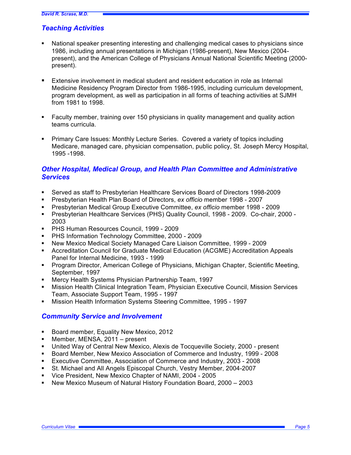# *Teaching Activities*

- National speaker presenting interesting and challenging medical cases to physicians since 1986, including annual presentations in Michigan (1986-present), New Mexico (2004 present), and the American College of Physicians Annual National Scientific Meeting (2000 present).
- Extensive involvement in medical student and resident education in role as Internal Medicine Residency Program Director from 1986-1995, including curriculum development, program development, as well as participation in all forms of teaching activities at SJMH from 1981 to 1998.
- Faculty member, training over 150 physicians in quality management and quality action teams curricula.
- Primary Care Issues: Monthly Lecture Series. Covered a variety of topics including Medicare, managed care, physician compensation, public policy, St. Joseph Mercy Hospital, 1995 -1998.

# *Other Hospital, Medical Group, and Health Plan Committee and Administrative Services*

- § Served as staff to Presbyterian Healthcare Services Board of Directors 1998-2009
- § Presbyterian Health Plan Board of Directors, *ex officio* member 1998 2007
- § Presbyterian Medical Group Executive Committee, *ex officio* member 1998 2009
- § Presbyterian Healthcare Services (PHS) Quality Council, 1998 2009. Co-chair, 2000 2003
- § PHS Human Resources Council, 1999 2009
- § PHS Information Technology Committee, 2000 2009
- § New Mexico Medical Society Managed Care Liaison Committee, 1999 2009
- § Accreditation Council for Graduate Medical Education (ACGME) Accreditation Appeals Panel for Internal Medicine, 1993 - 1999
- § Program Director, American College of Physicians, Michigan Chapter, Scientific Meeting, September, 1997
- § Mercy Health Systems Physician Partnership Team, 1997
- § Mission Health Clinical Integration Team, Physician Executive Council, Mission Services Team, Associate Support Team, 1995 - 1997
- § Mission Health Information Systems Steering Committee, 1995 1997

# *Community Service and Involvement*

- Board member, Equality New Mexico, 2012
- § Member, MENSA, 2011 present
- § United Way of Central New Mexico, Alexis de Tocqueville Society, 2000 present
- § Board Member, New Mexico Association of Commerce and Industry, 1999 2008
- § Executive Committee, Association of Commerce and Industry, 2003 2008
- § St. Michael and All Angels Episcopal Church, Vestry Member, 2004-2007
- § Vice President, New Mexico Chapter of NAMI, 2004 2005
- § New Mexico Museum of Natural History Foundation Board, 2000 2003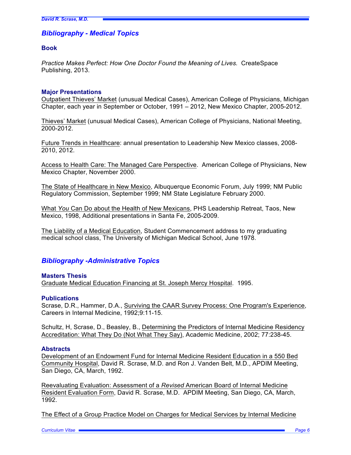# *Bibliography - Medical Topics*

#### **Book**

*Practice Makes Perfect: How One Doctor Found the Meaning of Lives.* CreateSpace Publishing, 2013.

#### **Major Presentations**

Outpatient Thieves' Market (unusual Medical Cases), American College of Physicians, Michigan Chapter, each year in September or October, 1991 – 2012, New Mexico Chapter, 2005-2012.

Thieves' Market (unusual Medical Cases), American College of Physicians, National Meeting, 2000-2012.

Future Trends in Healthcare: annual presentation to Leadership New Mexico classes, 2008- 2010, 2012.

Access to Health Care: The Managed Care Perspective. American College of Physicians, New Mexico Chapter, November 2000.

The State of Healthcare in New Mexico, Albuquerque Economic Forum, July 1999; NM Public Regulatory Commission, September 1999; NM State Legislature February 2000.

What *You* Can Do about the Health of New Mexicans, PHS Leadership Retreat, Taos, New Mexico, 1998, Additional presentations in Santa Fe, 2005-2009.

The Liability of a Medical Education, Student Commencement address to my graduating medical school class, The University of Michigan Medical School, June 1978.

# *Bibliography -Administrative Topics*

#### **Masters Thesis**

Graduate Medical Education Financing at St. Joseph Mercy Hospital. 1995.

#### **Publications**

Scrase, D.R., Hammer, D.A., Surviving the CAAR Survey Process: One Program's Experience, Careers in Internal Medicine, 1992;9:11-15.

Schultz, H, Scrase, D., Beasley, B., Determining the Predictors of Internal Medicine Residency Accreditation: What They Do (Not What They Say), Academic Medicine, 2002; 77:238-45.

#### **Abstracts**

Development of an Endowment Fund for Internal Medicine Resident Education in a 550 Bed Community Hospital, David R. Scrase, M.D. and Ron J. Vanden Belt, M.D., APDIM Meeting, San Diego, CA, March, 1992.

Reevaluating Evaluation: Assessment of a *Revised* American Board of Internal Medicine Resident Evaluation Form, David R. Scrase, M.D. APDIM Meeting, San Diego, CA, March, 1992.

The Effect of a Group Practice Model on Charges for Medical Services by Internal Medicine

*Curriculum Vitae Page 6*